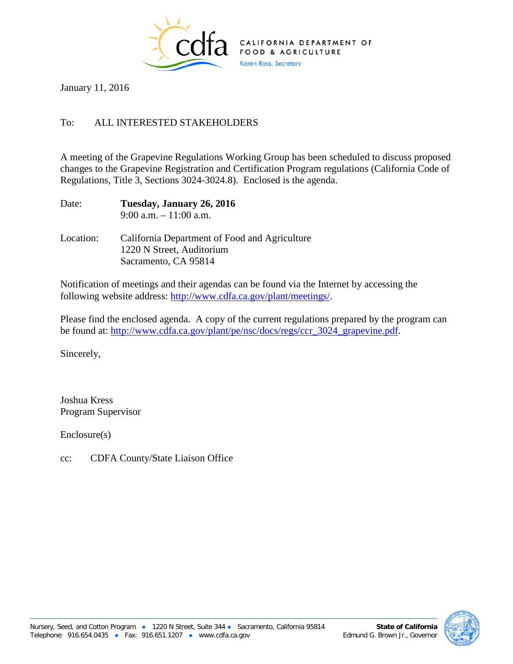

January 11, 2016

## To: ALL INTERESTED STAKEHOLDERS

A meeting of the Grapevine Regulations Working Group has been scheduled to discuss proposed changes to the Grapevine Registration and Certification Program regulations (California Code of Regulations, Title 3, Sections 3024-3024.8). Enclosed is the agenda.

| Date: | Tuesday, January 26, 2016 |
|-------|---------------------------|
|       | $9:00$ a.m. $-11:00$ a.m. |

Location: California Department of Food and Agriculture 1220 N Street, Auditorium Sacramento, CA 95814

Notification of meetings and their agendas can be found via the Internet by accessing the following website address: [http://www.cdfa.ca.gov/plant/meetings/.](http://www.cdfa.ca.gov/plant/meetings/)

Please find the enclosed agenda. A copy of the current regulations prepared by the program can be found at: [http://www.cdfa.ca.gov/plant/pe/nsc/docs/regs/ccr\\_3024\\_grapevine.pdf.](http://www.cdfa.ca.gov/plant/pe/nsc/docs/regs/ccr_3024_grapevine.pdf)

Sincerely,

Joshua Kress Program Supervisor

Enclosure(s)

cc: CDFA County/State Liaison Office